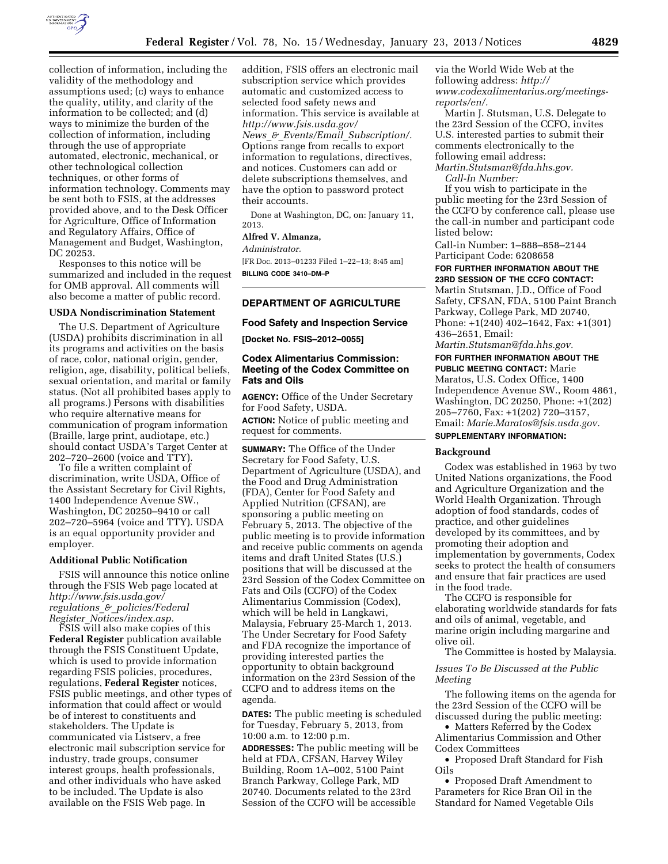

collection of information, including the validity of the methodology and assumptions used; (c) ways to enhance the quality, utility, and clarity of the information to be collected; and (d) ways to minimize the burden of the collection of information, including through the use of appropriate automated, electronic, mechanical, or other technological collection techniques, or other forms of information technology. Comments may be sent both to FSIS, at the addresses provided above, and to the Desk Officer for Agriculture, Office of Information and Regulatory Affairs, Office of Management and Budget, Washington, DC 20253.

Responses to this notice will be summarized and included in the request for OMB approval. All comments will also become a matter of public record.

#### **USDA Nondiscrimination Statement**

The U.S. Department of Agriculture (USDA) prohibits discrimination in all its programs and activities on the basis of race, color, national origin, gender, religion, age, disability, political beliefs, sexual orientation, and marital or family status. (Not all prohibited bases apply to all programs.) Persons with disabilities who require alternative means for communication of program information (Braille, large print, audiotape, etc.) should contact USDA's Target Center at 202–720–2600 (voice and TTY).

To file a written complaint of discrimination, write USDA, Office of the Assistant Secretary for Civil Rights, 1400 Independence Avenue SW., Washington, DC 20250–9410 or call 202–720–5964 (voice and TTY). USDA is an equal opportunity provider and employer.

#### **Additional Public Notification**

FSIS will announce this notice online through the FSIS Web page located at *[http://www.fsis.usda.gov/](http://www.fsis.usda.gov/regulations_&_policies/FederalRegister_Notices/index.asp)  regulations*\_*&*\_*[policies/Federal](http://www.fsis.usda.gov/regulations_&_policies/FederalRegister_Notices/index.asp) Register*\_*[Notices/index.asp.](http://www.fsis.usda.gov/regulations_&_policies/FederalRegister_Notices/index.asp)* 

FSIS will also make copies of this **Federal Register** publication available through the FSIS Constituent Update, which is used to provide information regarding FSIS policies, procedures, regulations, **Federal Register** notices, FSIS public meetings, and other types of information that could affect or would be of interest to constituents and stakeholders. The Update is communicated via Listserv, a free electronic mail subscription service for industry, trade groups, consumer interest groups, health professionals, and other individuals who have asked to be included. The Update is also available on the FSIS Web page. In

addition, FSIS offers an electronic mail subscription service which provides automatic and customized access to selected food safety news and information. This service is available at *[http://www.fsis.usda.gov/](http://www.fsis.usda.gov/News_&_Events/Email_Subscription/)  News*\_*&*\_*Events/Email*\_*[Subscription/.](http://www.fsis.usda.gov/News_&_Events/Email_Subscription/)*  Options range from recalls to export information to regulations, directives, and notices. Customers can add or delete subscriptions themselves, and have the option to password protect their accounts.

Done at Washington, DC, on: January 11, 2013.

## **Alfred V. Almanza,**

*Administrator.* 

[FR Doc. 2013–01233 Filed 1–22–13; 8:45 am] **BILLING CODE 3410–DM–P** 

## **DEPARTMENT OF AGRICULTURE**

# **Food Safety and Inspection Service**

**[Docket No. FSIS–2012–0055]** 

## **Codex Alimentarius Commission: Meeting of the Codex Committee on Fats and Oils**

**AGENCY:** Office of the Under Secretary for Food Safety, USDA. **ACTION:** Notice of public meeting and request for comments.

**SUMMARY:** The Office of the Under Secretary for Food Safety, U.S. Department of Agriculture (USDA), and the Food and Drug Administration (FDA), Center for Food Safety and Applied Nutrition (CFSAN), are sponsoring a public meeting on February 5, 2013. The objective of the public meeting is to provide information and receive public comments on agenda items and draft United States (U.S.) positions that will be discussed at the 23rd Session of the Codex Committee on Fats and Oils (CCFO) of the Codex Alimentarius Commission (Codex), which will be held in Langkawi, Malaysia, February 25-March 1, 2013. The Under Secretary for Food Safety and FDA recognize the importance of providing interested parties the opportunity to obtain background information on the 23rd Session of the CCFO and to address items on the agenda.

**DATES:** The public meeting is scheduled for Tuesday, February 5, 2013, from 10:00 a.m. to 12:00 p.m.

**ADDRESSES:** The public meeting will be held at FDA, CFSAN, Harvey Wiley Building, Room 1A–002, 5100 Paint Branch Parkway, College Park, MD 20740. Documents related to the 23rd Session of the CCFO will be accessible

via the World Wide Web at the following address: *[http://](http://www.codexalimentarius.org/meetings-reports/en/)  [www.codexalimentarius.org/meetings](http://www.codexalimentarius.org/meetings-reports/en/)[reports/en/.](http://www.codexalimentarius.org/meetings-reports/en/)* 

Martin J. Stutsman, U.S. Delegate to the 23rd Session of the CCFO, invites U.S. interested parties to submit their comments electronically to the following email address:

*[Martin.Stutsman@fda.hhs.gov.](mailto:Martin.Stutsman@fda.hhs.gov)  Call-In Number:* 

If you wish to participate in the public meeting for the 23rd Session of the CCFO by conference call, please use the call-in number and participant code listed below:

Call-in Number: 1–888–858–2144 Participant Code: 6208658

### **FOR FURTHER INFORMATION ABOUT THE 23RD SESSION OF THE CCFO CONTACT:**

Martin Stutsman, J.D., Office of Food Safety, CFSAN, FDA, 5100 Paint Branch Parkway, College Park, MD 20740, Phone: +1(240) 402–1642, Fax: +1(301) 436–2651, Email:

*[Martin.Stutsman@fda.hhs.gov.](mailto:Martin.Stutsman@fda.hhs.gov)* 

**FOR FURTHER INFORMATION ABOUT THE PUBLIC MEETING CONTACT:** Marie Maratos, U.S. Codex Office, 1400 Independence Avenue SW., Room 4861, Washington, DC 20250, Phone: +1(202) 205–7760, Fax: +1(202) 720–3157, Email: *[Marie.Maratos@fsis.usda.gov.](mailto:Marie.Maratos@fsis.usda.gov)* 

# **SUPPLEMENTARY INFORMATION:**

#### **Background**

Codex was established in 1963 by two United Nations organizations, the Food and Agriculture Organization and the World Health Organization. Through adoption of food standards, codes of practice, and other guidelines developed by its committees, and by promoting their adoption and implementation by governments, Codex seeks to protect the health of consumers and ensure that fair practices are used in the food trade.

The CCFO is responsible for elaborating worldwide standards for fats and oils of animal, vegetable, and marine origin including margarine and olive oil.

The Committee is hosted by Malaysia.

## *Issues To Be Discussed at the Public Meeting*

The following items on the agenda for the 23rd Session of the CCFO will be discussed during the public meeting:

• Matters Referred by the Codex Alimentarius Commission and Other Codex Committees

• Proposed Draft Standard for Fish Oils

• Proposed Draft Amendment to Parameters for Rice Bran Oil in the Standard for Named Vegetable Oils